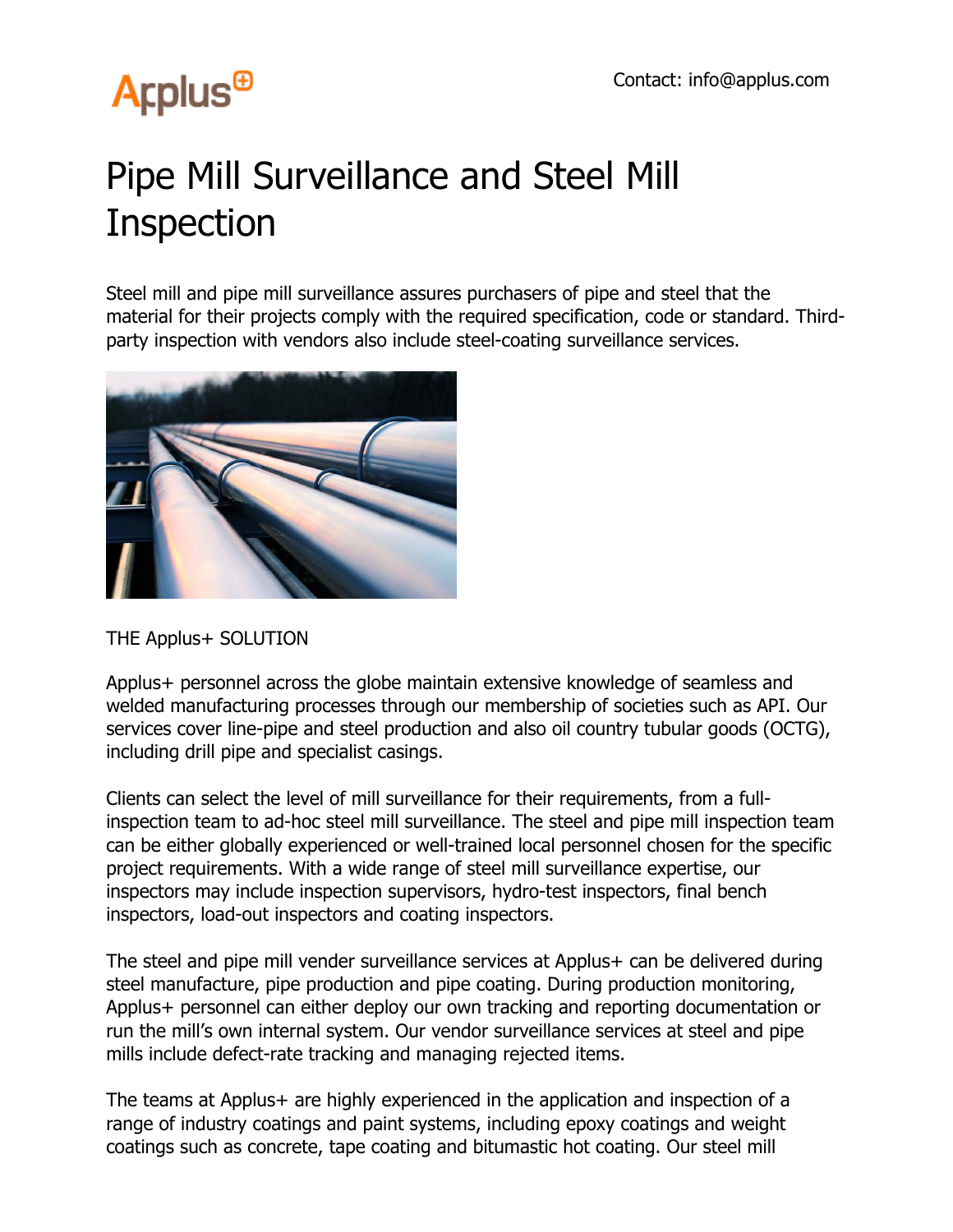## **Arplus<sup>®</sup>**

## Pipe Mill Surveillance and Steel Mill Inspection

Steel mill and pipe mill surveillance assures purchasers of pipe and steel that the material for their projects comply with the required specification, code or standard. Thirdparty inspection with vendors also include steel-coating surveillance services.



THE Applus+ SOLUTION

Applus+ personnel across the globe maintain extensive knowledge of seamless and welded manufacturing processes through our membership of societies such as API. Our services cover line-pipe and steel production and also oil country tubular goods (OCTG), including drill pipe and specialist casings.

Clients can select the level of mill surveillance for their requirements, from a fullinspection team to ad-hoc steel mill surveillance. The steel and pipe mill inspection team can be either globally experienced or well-trained local personnel chosen for the specific project requirements. With a wide range of steel mill surveillance expertise, our inspectors may include inspection supervisors, hydro-test inspectors, final bench inspectors, load-out inspectors and coating inspectors.

The steel and pipe mill vender surveillance services at Applus+ can be delivered during steel manufacture, pipe production and pipe coating. During production monitoring, Applus+ personnel can either deploy our own tracking and reporting documentation or run the mill's own internal system. Our vendor surveillance services at steel and pipe mills include defect-rate tracking and managing rejected items.

The teams at Applus+ are highly experienced in the application and inspection of a range of industry coatings and paint systems, including epoxy coatings and weight coatings such as concrete, tape coating and bitumastic hot coating. Our steel mill